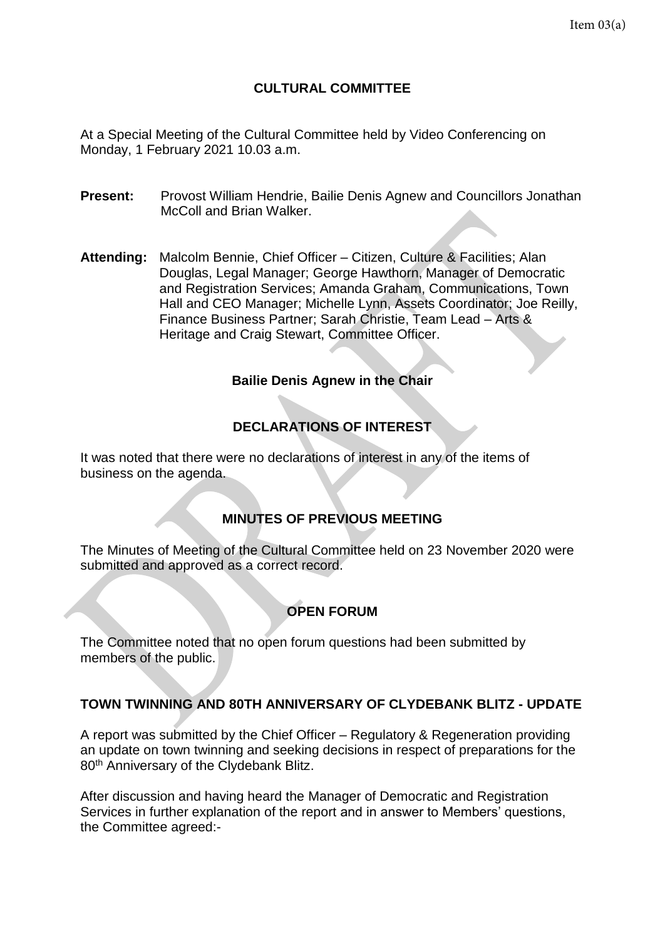# **CULTURAL COMMITTEE**

At a Special Meeting of the Cultural Committee held by Video Conferencing on Monday, 1 February 2021 10.03 a.m.

- **Present:** Provost William Hendrie, Bailie Denis Agnew and Councillors Jonathan McColl and Brian Walker.
- **Attending:** Malcolm Bennie, Chief Officer Citizen, Culture & Facilities; Alan Douglas, Legal Manager; George Hawthorn, Manager of Democratic and Registration Services; Amanda Graham, Communications, Town Hall and CEO Manager; Michelle Lynn, Assets Coordinator; Joe Reilly, Finance Business Partner; Sarah Christie, Team Lead – Arts & Heritage and Craig Stewart, Committee Officer.

#### **Bailie Denis Agnew in the Chair**

# **DECLARATIONS OF INTEREST**

It was noted that there were no declarations of interest in any of the items of business on the agenda.

# **MINUTES OF PREVIOUS MEETING**

The Minutes of Meeting of the Cultural Committee held on 23 November 2020 were submitted and approved as a correct record.

# **OPEN FORUM**

The Committee noted that no open forum questions had been submitted by members of the public.

#### **TOWN TWINNING AND 80TH ANNIVERSARY OF CLYDEBANK BLITZ - UPDATE**

A report was submitted by the Chief Officer – Regulatory & Regeneration providing an update on town twinning and seeking decisions in respect of preparations for the 80<sup>th</sup> Anniversary of the Clydebank Blitz.

After discussion and having heard the Manager of Democratic and Registration Services in further explanation of the report and in answer to Members' questions, the Committee agreed:-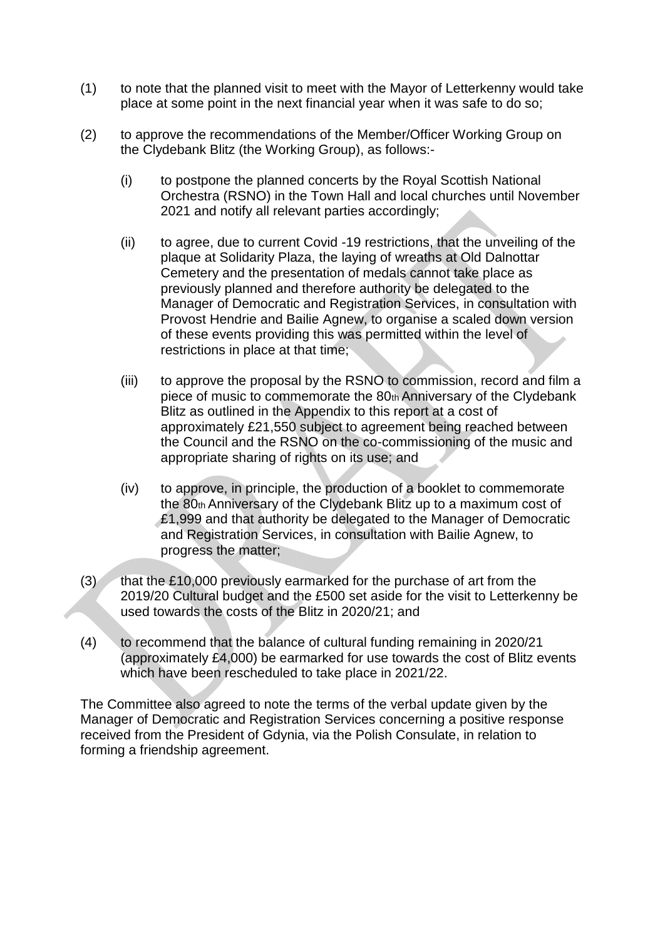- (1) to note that the planned visit to meet with the Mayor of Letterkenny would take place at some point in the next financial year when it was safe to do so;
- (2) to approve the recommendations of the Member/Officer Working Group on the Clydebank Blitz (the Working Group), as follows:-
	- (i) to postpone the planned concerts by the Royal Scottish National Orchestra (RSNO) in the Town Hall and local churches until November 2021 and notify all relevant parties accordingly;
	- (ii) to agree, due to current Covid -19 restrictions, that the unveiling of the plaque at Solidarity Plaza, the laying of wreaths at Old Dalnottar Cemetery and the presentation of medals cannot take place as previously planned and therefore authority be delegated to the Manager of Democratic and Registration Services, in consultation with Provost Hendrie and Bailie Agnew, to organise a scaled down version of these events providing this was permitted within the level of restrictions in place at that time;
	- (iii) to approve the proposal by the RSNO to commission, record and film a piece of music to commemorate the  $80<sub>th</sub>$  Anniversary of the Clydebank Blitz as outlined in the Appendix to this report at a cost of approximately £21,550 subject to agreement being reached between the Council and the RSNO on the co-commissioning of the music and appropriate sharing of rights on its use; and
	- (iv) to approve, in principle, the production of a booklet to commemorate the 80th Anniversary of the Clydebank Blitz up to a maximum cost of £1,999 and that authority be delegated to the Manager of Democratic and Registration Services, in consultation with Bailie Agnew, to progress the matter;
- $(3)$  that the £10,000 previously earmarked for the purchase of art from the 2019/20 Cultural budget and the £500 set aside for the visit to Letterkenny be used towards the costs of the Blitz in 2020/21; and
- (4) to recommend that the balance of cultural funding remaining in 2020/21 (approximately £4,000) be earmarked for use towards the cost of Blitz events which have been rescheduled to take place in 2021/22.

The Committee also agreed to note the terms of the verbal update given by the Manager of Democratic and Registration Services concerning a positive response received from the President of Gdynia, via the Polish Consulate, in relation to forming a friendship agreement.